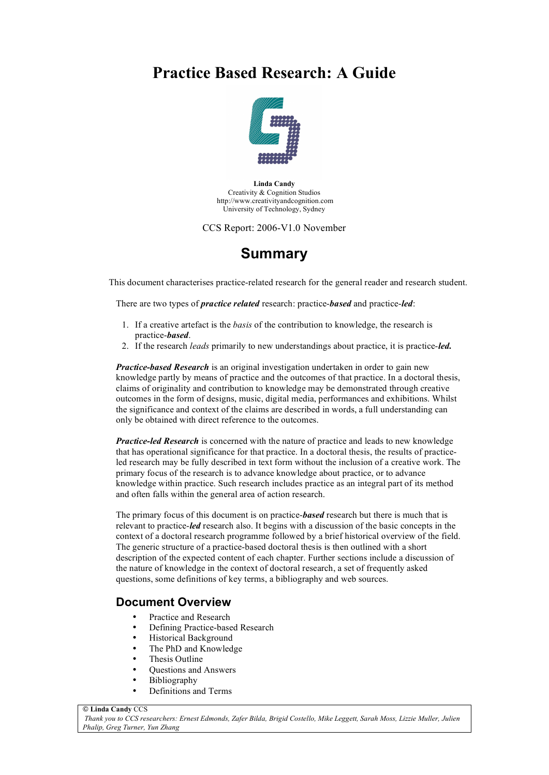# **Practice Based Research: A Guide**



**Linda Candy** Creativity & Cognition Studios http://www.creativityandcognition.com University of Technology, Sydney

CCS Report: 2006-V1.0 November

# **Summary**

This document characterises practice-related research for the general reader and research student.

There are two types of *practice related* research: practice-*based* and practice-*led*:

- 1. If a creative artefact is the *basis* of the contribution to knowledge, the research is practice-*based*.
- 2. If the research *leads* primarily to new understandings about practice, it is practice-*led.*

*Practice-based Research* is an original investigation undertaken in order to gain new knowledge partly by means of practice and the outcomes of that practice. In a doctoral thesis, claims of originality and contribution to knowledge may be demonstrated through creative outcomes in the form of designs, music, digital media, performances and exhibitions. Whilst the significance and context of the claims are described in words, a full understanding can only be obtained with direct reference to the outcomes.

*Practice-led Research* is concerned with the nature of practice and leads to new knowledge that has operational significance for that practice. In a doctoral thesis, the results of practiceled research may be fully described in text form without the inclusion of a creative work. The primary focus of the research is to advance knowledge about practice, or to advance knowledge within practice. Such research includes practice as an integral part of its method and often falls within the general area of action research.

The primary focus of this document is on practice-*based* research but there is much that is relevant to practice-*led* research also. It begins with a discussion of the basic concepts in the context of a doctoral research programme followed by a brief historical overview of the field. The generic structure of a practice-based doctoral thesis is then outlined with a short description of the expected content of each chapter. Further sections include a discussion of the nature of knowledge in the context of doctoral research, a set of frequently asked questions, some definitions of key terms, a bibliography and web sources.

## **Document Overview**

- Practice and Research
- Defining Practice-based Research
- Historical Background
- The PhD and Knowledge
- Thesis Outline
- Questions and Answers
- Bibliography
- Definitions and Terms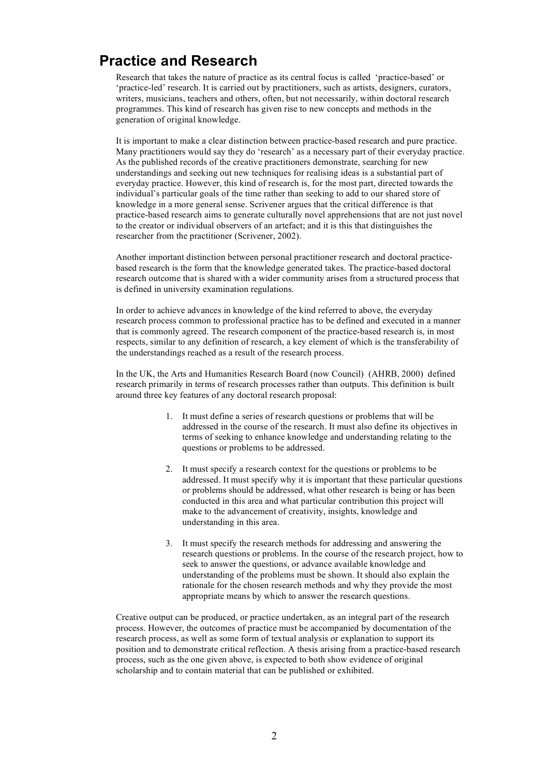# **Practice and Research**

Research that takes the nature of practice as its central focus is called 'practice-based' or 'practice-led' research. It is carried out by practitioners, such as artists, designers, curators, writers, musicians, teachers and others, often, but not necessarily, within doctoral research programmes. This kind of research has given rise to new concepts and methods in the generation of original knowledge.

It is important to make a clear distinction between practice-based research and pure practice. Many practitioners would say they do 'research' as a necessary part of their everyday practice. As the published records of the creative practitioners demonstrate, searching for new understandings and seeking out new techniques for realising ideas is a substantial part of everyday practice. However, this kind of research is, for the most part, directed towards the individual's particular goals of the time rather than seeking to add to our shared store of knowledge in a more general sense. Scrivener argues that the critical difference is that practice-based research aims to generate culturally novel apprehensions that are not just novel to the creator or individual observers of an artefact; and it is this that distinguishes the researcher from the practitioner (Scrivener, 2002).

Another important distinction between personal practitioner research and doctoral practicebased research is the form that the knowledge generated takes. The practice-based doctoral research outcome that is shared with a wider community arises from a structured process that is defined in university examination regulations.

In order to achieve advances in knowledge of the kind referred to above, the everyday research process common to professional practice has to be defined and executed in a manner that is commonly agreed. The research component of the practice-based research is, in most respects, similar to any definition of research, a key element of which is the transferability of the understandings reached as a result of the research process.

In the UK, the Arts and Humanities Research Board (now Council) (AHRB, 2000) defined research primarily in terms of research processes rather than outputs. This definition is built around three key features of any doctoral research proposal:

- 1. It must define a series of research questions or problems that will be addressed in the course of the research. It must also define its objectives in terms of seeking to enhance knowledge and understanding relating to the questions or problems to be addressed.
- 2. It must specify a research context for the questions or problems to be addressed. It must specify why it is important that these particular questions or problems should be addressed, what other research is being or has been conducted in this area and what particular contribution this project will make to the advancement of creativity, insights, knowledge and understanding in this area.
- 3. It must specify the research methods for addressing and answering the research questions or problems. In the course of the research project, how to seek to answer the questions, or advance available knowledge and understanding of the problems must be shown. It should also explain the rationale for the chosen research methods and why they provide the most appropriate means by which to answer the research questions.

Creative output can be produced, or practice undertaken, as an integral part of the research process. However, the outcomes of practice must be accompanied by documentation of the research process, as well as some form of textual analysis or explanation to support its position and to demonstrate critical reflection. A thesis arising from a practice-based research process, such as the one given above, is expected to both show evidence of original scholarship and to contain material that can be published or exhibited.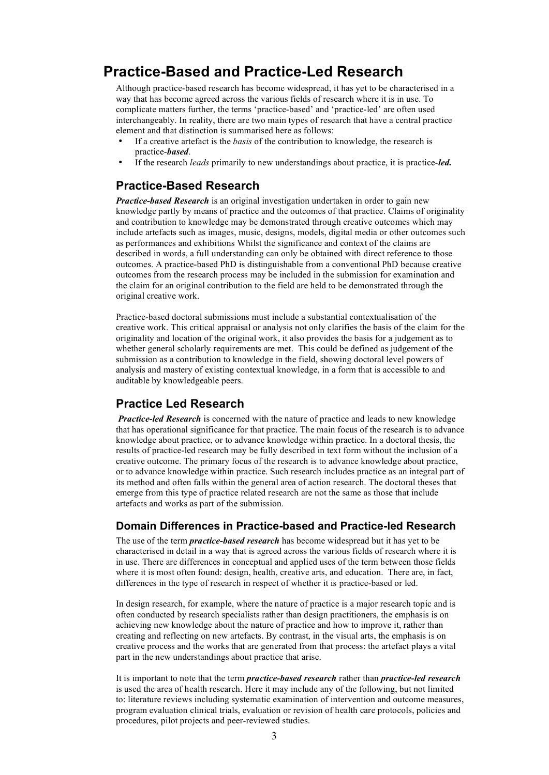# **Practice-Based and Practice-Led Research**

Although practice-based research has become widespread, it has yet to be characterised in a way that has become agreed across the various fields of research where it is in use. To complicate matters further, the terms 'practice-based' and 'practice-led' are often used interchangeably. In reality, there are two main types of research that have a central practice element and that distinction is summarised here as follows:

- If a creative artefact is the *basis* of the contribution to knowledge, the research is practice-*based*.
- If the research *leads* primarily to new understandings about practice, it is practice-*led.*

## **Practice-Based Research**

*Practice-based Research* is an original investigation undertaken in order to gain new knowledge partly by means of practice and the outcomes of that practice. Claims of originality and contribution to knowledge may be demonstrated through creative outcomes which may include artefacts such as images, music, designs, models, digital media or other outcomes such as performances and exhibitions Whilst the significance and context of the claims are described in words, a full understanding can only be obtained with direct reference to those outcomes. A practice-based PhD is distinguishable from a conventional PhD because creative outcomes from the research process may be included in the submission for examination and the claim for an original contribution to the field are held to be demonstrated through the original creative work.

Practice-based doctoral submissions must include a substantial contextualisation of the creative work. This critical appraisal or analysis not only clarifies the basis of the claim for the originality and location of the original work, it also provides the basis for a judgement as to whether general scholarly requirements are met. This could be defined as judgement of the submission as a contribution to knowledge in the field, showing doctoral level powers of analysis and mastery of existing contextual knowledge, in a form that is accessible to and auditable by knowledgeable peers.

### **Practice Led Research**

*Practice-led Research* is concerned with the nature of practice and leads to new knowledge that has operational significance for that practice. The main focus of the research is to advance knowledge about practice, or to advance knowledge within practice. In a doctoral thesis, the results of practice-led research may be fully described in text form without the inclusion of a creative outcome. The primary focus of the research is to advance knowledge about practice, or to advance knowledge within practice. Such research includes practice as an integral part of its method and often falls within the general area of action research. The doctoral theses that emerge from this type of practice related research are not the same as those that include artefacts and works as part of the submission.

#### **Domain Differences in Practice-based and Practice-led Research**

The use of the term *practice-based research* has become widespread but it has yet to be characterised in detail in a way that is agreed across the various fields of research where it is in use. There are differences in conceptual and applied uses of the term between those fields where it is most often found: design, health, creative arts, and education. There are, in fact, differences in the type of research in respect of whether it is practice-based or led.

In design research, for example, where the nature of practice is a major research topic and is often conducted by research specialists rather than design practitioners, the emphasis is on achieving new knowledge about the nature of practice and how to improve it, rather than creating and reflecting on new artefacts. By contrast, in the visual arts, the emphasis is on creative process and the works that are generated from that process: the artefact plays a vital part in the new understandings about practice that arise.

It is important to note that the term *practice-based research* rather than *practice-led research* is used the area of health research. Here it may include any of the following, but not limited to: literature reviews including systematic examination of intervention and outcome measures, program evaluation clinical trials, evaluation or revision of health care protocols, policies and procedures, pilot projects and peer-reviewed studies.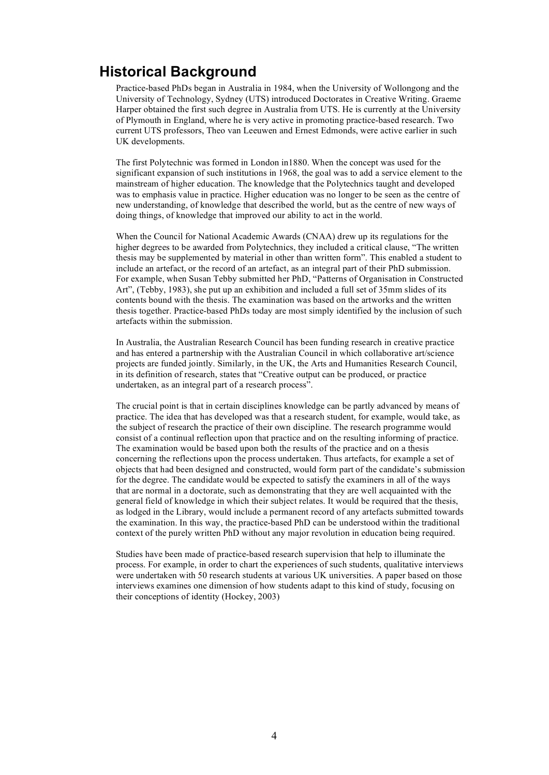# **Historical Background**

Practice-based PhDs began in Australia in 1984, when the University of Wollongong and the University of Technology, Sydney (UTS) introduced Doctorates in Creative Writing. Graeme Harper obtained the first such degree in Australia from UTS. He is currently at the University of Plymouth in England, where he is very active in promoting practice-based research. Two current UTS professors, Theo van Leeuwen and Ernest Edmonds, were active earlier in such UK developments.

The first Polytechnic was formed in London in1880. When the concept was used for the significant expansion of such institutions in 1968, the goal was to add a service element to the mainstream of higher education. The knowledge that the Polytechnics taught and developed was to emphasis value in practice. Higher education was no longer to be seen as the centre of new understanding, of knowledge that described the world, but as the centre of new ways of doing things, of knowledge that improved our ability to act in the world.

When the Council for National Academic Awards (CNAA) drew up its regulations for the higher degrees to be awarded from Polytechnics, they included a critical clause, "The written thesis may be supplemented by material in other than written form". This enabled a student to include an artefact, or the record of an artefact, as an integral part of their PhD submission. For example, when Susan Tebby submitted her PhD, "Patterns of Organisation in Constructed Art", (Tebby, 1983), she put up an exhibition and included a full set of 35mm slides of its contents bound with the thesis. The examination was based on the artworks and the written thesis together. Practice-based PhDs today are most simply identified by the inclusion of such artefacts within the submission.

In Australia, the Australian Research Council has been funding research in creative practice and has entered a partnership with the Australian Council in which collaborative art/science projects are funded jointly. Similarly, in the UK, the Arts and Humanities Research Council, in its definition of research, states that "Creative output can be produced, or practice undertaken, as an integral part of a research process".

The crucial point is that in certain disciplines knowledge can be partly advanced by means of practice. The idea that has developed was that a research student, for example, would take, as the subject of research the practice of their own discipline. The research programme would consist of a continual reflection upon that practice and on the resulting informing of practice. The examination would be based upon both the results of the practice and on a thesis concerning the reflections upon the process undertaken. Thus artefacts, for example a set of objects that had been designed and constructed, would form part of the candidate's submission for the degree. The candidate would be expected to satisfy the examiners in all of the ways that are normal in a doctorate, such as demonstrating that they are well acquainted with the general field of knowledge in which their subject relates. It would be required that the thesis, as lodged in the Library, would include a permanent record of any artefacts submitted towards the examination. In this way, the practice-based PhD can be understood within the traditional context of the purely written PhD without any major revolution in education being required.

Studies have been made of practice-based research supervision that help to illuminate the process. For example, in order to chart the experiences of such students, qualitative interviews were undertaken with 50 research students at various UK universities. A paper based on those interviews examines one dimension of how students adapt to this kind of study, focusing on their conceptions of identity (Hockey, 2003)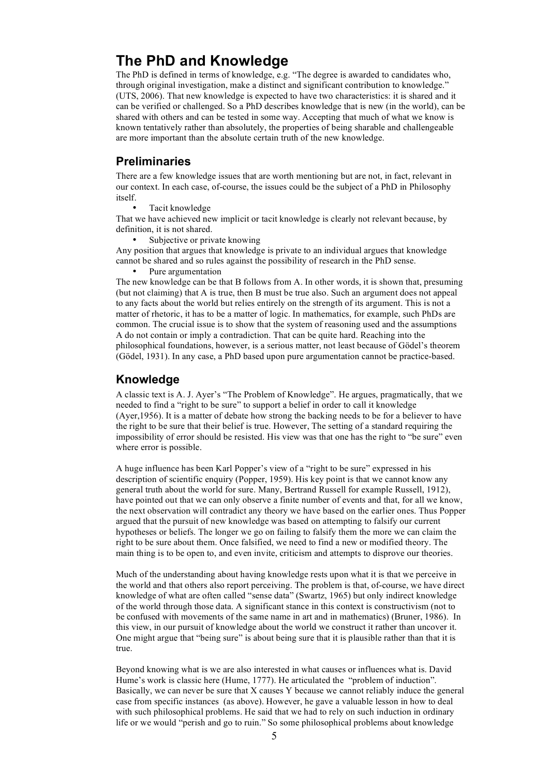# **The PhD and Knowledge**

The PhD is defined in terms of knowledge, e.g. "The degree is awarded to candidates who, through original investigation, make a distinct and significant contribution to knowledge." (UTS, 2006). That new knowledge is expected to have two characteristics: it is shared and it can be verified or challenged. So a PhD describes knowledge that is new (in the world), can be shared with others and can be tested in some way. Accepting that much of what we know is known tentatively rather than absolutely, the properties of being sharable and challengeable are more important than the absolute certain truth of the new knowledge.

#### **Preliminaries**

There are a few knowledge issues that are worth mentioning but are not, in fact, relevant in our context. In each case, of-course, the issues could be the subject of a PhD in Philosophy itself.

Tacit knowledge

That we have achieved new implicit or tacit knowledge is clearly not relevant because, by definition, it is not shared.

Subjective or private knowing

Any position that argues that knowledge is private to an individual argues that knowledge cannot be shared and so rules against the possibility of research in the PhD sense.

Pure argumentation

The new knowledge can be that B follows from A. In other words, it is shown that, presuming (but not claiming) that A is true, then B must be true also. Such an argument does not appeal to any facts about the world but relies entirely on the strength of its argument. This is not a matter of rhetoric, it has to be a matter of logic. In mathematics, for example, such PhDs are common. The crucial issue is to show that the system of reasoning used and the assumptions A do not contain or imply a contradiction. That can be quite hard. Reaching into the philosophical foundations, however, is a serious matter, not least because of Gödel's theorem (Gödel, 1931). In any case, a PhD based upon pure argumentation cannot be practice-based.

### **Knowledge**

A classic text is A. J. Ayer's "The Problem of Knowledge". He argues, pragmatically, that we needed to find a "right to be sure" to support a belief in order to call it knowledge (Ayer,1956). It is a matter of debate how strong the backing needs to be for a believer to have the right to be sure that their belief is true. However, The setting of a standard requiring the impossibility of error should be resisted. His view was that one has the right to "be sure" even where error is possible.

A huge influence has been Karl Popper's view of a "right to be sure" expressed in his description of scientific enquiry (Popper, 1959). His key point is that we cannot know any general truth about the world for sure. Many, Bertrand Russell for example Russell, 1912), have pointed out that we can only observe a finite number of events and that, for all we know, the next observation will contradict any theory we have based on the earlier ones. Thus Popper argued that the pursuit of new knowledge was based on attempting to falsify our current hypotheses or beliefs. The longer we go on failing to falsify them the more we can claim the right to be sure about them. Once falsified, we need to find a new or modified theory. The main thing is to be open to, and even invite, criticism and attempts to disprove our theories.

Much of the understanding about having knowledge rests upon what it is that we perceive in the world and that others also report perceiving. The problem is that, of-course, we have direct knowledge of what are often called "sense data" (Swartz, 1965) but only indirect knowledge of the world through those data. A significant stance in this context is constructivism (not to be confused with movements of the same name in art and in mathematics) (Bruner, 1986). In this view, in our pursuit of knowledge about the world we construct it rather than uncover it. One might argue that "being sure" is about being sure that it is plausible rather than that it is true.

Beyond knowing what is we are also interested in what causes or influences what is. David Hume's work is classic here (Hume, 1777). He articulated the "problem of induction". Basically, we can never be sure that X causes Y because we cannot reliably induce the general case from specific instances (as above). However, he gave a valuable lesson in how to deal with such philosophical problems. He said that we had to rely on such induction in ordinary life or we would "perish and go to ruin." So some philosophical problems about knowledge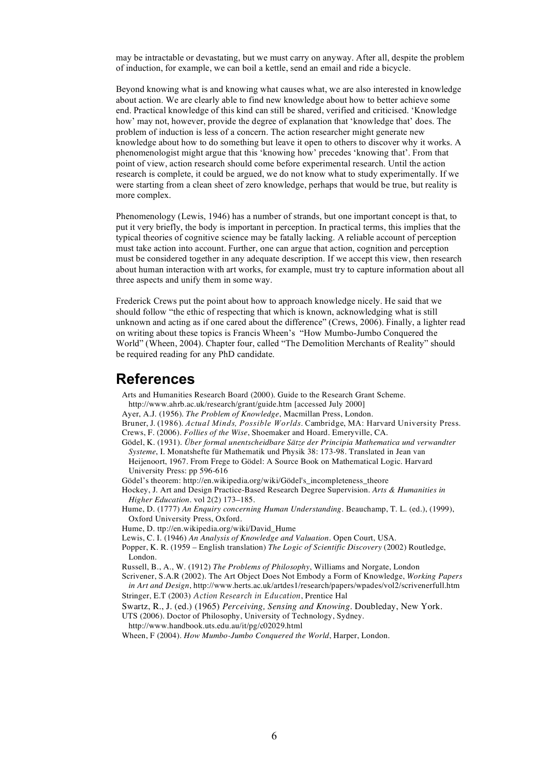may be intractable or devastating, but we must carry on anyway. After all, despite the problem of induction, for example, we can boil a kettle, send an email and ride a bicycle.

Beyond knowing what is and knowing what causes what, we are also interested in knowledge about action. We are clearly able to find new knowledge about how to better achieve some end. Practical knowledge of this kind can still be shared, verified and criticised. 'Knowledge how' may not, however, provide the degree of explanation that 'knowledge that' does. The problem of induction is less of a concern. The action researcher might generate new knowledge about how to do something but leave it open to others to discover why it works. A phenomenologist might argue that this 'knowing how' precedes 'knowing that'. From that point of view, action research should come before experimental research. Until the action research is complete, it could be argued, we do not know what to study experimentally. If we were starting from a clean sheet of zero knowledge, perhaps that would be true, but reality is more complex.

Phenomenology (Lewis, 1946) has a number of strands, but one important concept is that, to put it very briefly, the body is important in perception. In practical terms, this implies that the typical theories of cognitive science may be fatally lacking. A reliable account of perception must take action into account. Further, one can argue that action, cognition and perception must be considered together in any adequate description. If we accept this view, then research about human interaction with art works, for example, must try to capture information about all three aspects and unify them in some way.

Frederick Crews put the point about how to approach knowledge nicely. He said that we should follow "the ethic of respecting that which is known, acknowledging what is still unknown and acting as if one cared about the difference" (Crews, 2006). Finally, a lighter read on writing about these topics is Francis Wheen's "How Mumbo-Jumbo Conquered the World" (Wheen, 2004). Chapter four, called "The Demolition Merchants of Reality" should be required reading for any PhD candidate.

## **References**

Arts and Humanities Research Board (2000). Guide to the Research Grant Scheme.

http://www.ahrb.ac.uk/research/grant/guide.htm [accessed July 2000] Ayer, A.J. (1956). *The Problem of Knowledge*, Macmillan Press, London.

Bruner, J. (1986). *Actual Minds, Possible Worlds*. Cambridge, MA: Harvard University Press. Crews, F. (2006). *Follies of the Wise*, Shoemaker and Hoard. Emeryville, CA.

Gödel, K. (1931). *Über formal unentscheidbare Sätze der Principia Mathematica und verwandter Systeme*, I. Monatshefte für Mathematik und Physik 38: 173-98. Translated in Jean van Heijenoort, 1967. From Frege to Gödel: A Source Book on Mathematical Logic. Harvard University Press: pp 596-616

- Gödel's theorem: http://en.wikipedia.org/wiki/Gödel's incompleteness theore
- Hockey, J. Art and Design Practice-Based Research Degree Supervision. *Arts & Humanities in Higher Education*. vol 2(2) 173–185.
- Hume, D. (1777) *An Enquiry concerning Human Understanding*. Beauchamp, T. L. (ed.), (1999), Oxford University Press, Oxford.
- Hume, D. ttp://en.wikipedia.org/wiki/David\_Hume
- Lewis, C. I. (1946) *An Analysis of Knowledge and Valuation*. Open Court, USA.
- Popper, K. R. (1959 English translation) *The Logic of Scientific Discovery* (2002) Routledge, London.
- Russell, B., A., W. (1912) *The Problems of Philosophy*, Williams and Norgate, London

Scrivener, S.A.R (2002). The Art Object Does Not Embody a Form of Knowledge, *Working Papers in Art and Design*, http://www.herts.ac.uk/artdes1/research/papers/wpades/vol2/scrivenerfull.htm Stringer, E.T (2003) *Action Research in Education*, Prentice Hal

Swartz, R., J. (ed.) (1965) *Perceiving, Sensing and Knowing*. Doubleday, New York.

UTS (2006). Doctor of Philosophy, University of Technology, Sydney.

http://www.handbook.uts.edu.au/it/pg/c02029.html Wheen, F (2004). *How Mumbo-Jumbo Conquered the World*, Harper, London.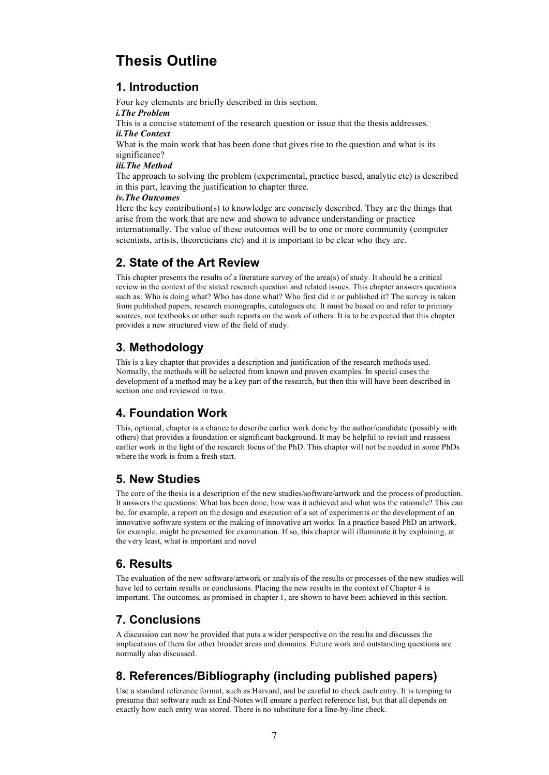# **Thesis Outline**

## **1. Introduction**

Four key elements are briefly described in this section.

#### *i.The Problem*

This is a concise statement of the research question or issue that the thesis addresses. *ii.The Context*

What is the main work that has been done that gives rise to the question and what is its significance?

#### *iii.The Method*

The approach to solving the problem (experimental, practice based, analytic etc) is described in this part, leaving the justification to chapter three.

#### *iv.The Outcomes*

Here the key contribution(s) to knowledge are concisely described. They are the things that arise from the work that are new and shown to advance understanding or practice internationally. The value of these outcomes will be to one or more community (computer scientists, artists, theoreticians etc) and it is important to be clear who they are.

## **2. State of the Art Review**

This chapter presents the results of a literature survey of the area(s) of study. It should be a critical review in the context of the stated research question and related issues. This chapter answers questions such as: Who is doing what? Who has done what? Who first did it or published it? The survey is taken from published papers, research monographs, catalogues etc. It must be based on and refer to primary sources, not textbooks or other such reports on the work of others. It is to be expected that this chapter provides a new structured view of the field of study.

## **3. Methodology**

This is a key chapter that provides a description and justification of the research methods used. Normally, the methods will be selected from known and proven examples. In special cases the development of a method may be a key part of the research, but then this will have been described in section one and reviewed in two.

## **4. Foundation Work**

This, optional, chapter is a chance to describe earlier work done by the author/candidate (possibly with others) that provides a foundation or significant background. It may be helpful to revisit and reassess earlier work in the light of the research focus of the PhD. This chapter will not be needed in some PhDs where the work is from a fresh start.

## **5. New Studies**

The core of the thesis is a description of the new studies/software/artwork and the process of production. It answers the questions: What has been done, how was it achieved and what was the rationale? This can be, for example, a report on the design and execution of a set of experiments or the development of an innovative software system or the making of innovative art works. In a practice based PhD an artwork, for example, might be presented for examination. If so, this chapter will illuminate it by explaining, at the very least, what is important and novel

## **6. Results**

The evaluation of the new software/artwork or analysis of the results or processes of the new studies will have led to certain results or conclusions. Placing the new results in the context of Chapter 4 is important. The outcomes, as promised in chapter 1, are shown to have been achieved in this section.

## **7. Conclusions**

A discussion can now be provided that puts a wider perspective on the results and discusses the implications of them for other broader areas and domains. Future work and outstanding questions are normally also discussed.

## **8. References/Bibliography (including published papers)**

Use a standard reference format, such as Harvard, and be careful to check each entry. It is temping to presume that software such as End-Notes will ensure a perfect reference list, but that all depends on exactly how each entry was stored. There is no substitute for a line-by-line check.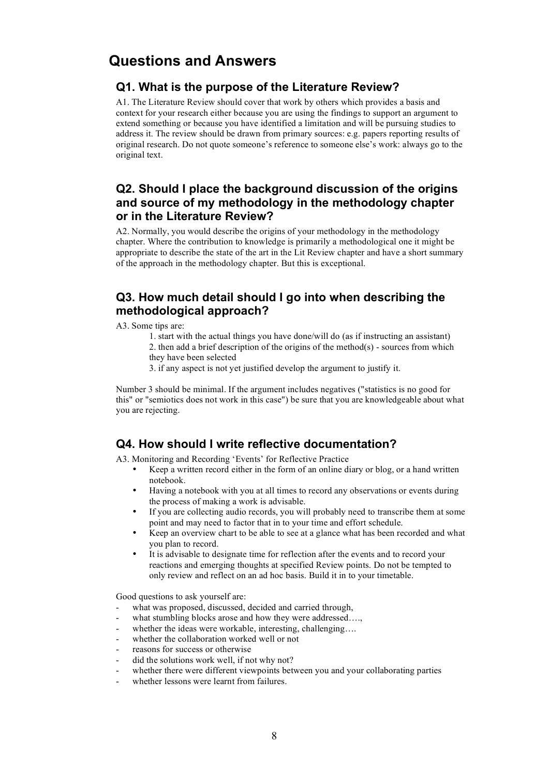# **Questions and Answers**

### **Q1. What is the purpose of the Literature Review?**

A1. The Literature Review should cover that work by others which provides a basis and context for your research either because you are using the findings to support an argument to extend something or because you have identified a limitation and will be pursuing studies to address it. The review should be drawn from primary sources: e.g. papers reporting results of original research. Do not quote someone's reference to someone else's work: always go to the original text.

## **Q2. Should I place the background discussion of the origins and source of my methodology in the methodology chapter or in the Literature Review?**

A2. Normally, you would describe the origins of your methodology in the methodology chapter. Where the contribution to knowledge is primarily a methodological one it might be appropriate to describe the state of the art in the Lit Review chapter and have a short summary of the approach in the methodology chapter. But this is exceptional.

## **Q3. How much detail should I go into when describing the methodological approach?**

A3. Some tips are:

- 1. start with the actual things you have done/will do (as if instructing an assistant)
- 2. then add a brief description of the origins of the method(s) sources from which they have been selected
- 3. if any aspect is not yet justified develop the argument to justify it.

Number 3 should be minimal. If the argument includes negatives ("statistics is no good for this" or "semiotics does not work in this case") be sure that you are knowledgeable about what you are rejecting.

## **Q4. How should I write reflective documentation?**

A3. Monitoring and Recording 'Events' for Reflective Practice

- Keep a written record either in the form of an online diary or blog, or a hand written notebook.
- Having a notebook with you at all times to record any observations or events during the process of making a work is advisable.
- If you are collecting audio records, you will probably need to transcribe them at some point and may need to factor that in to your time and effort schedule.
- Keep an overview chart to be able to see at a glance what has been recorded and what you plan to record.
- It is advisable to designate time for reflection after the events and to record your reactions and emerging thoughts at specified Review points. Do not be tempted to only review and reflect on an ad hoc basis. Build it in to your timetable.

Good questions to ask yourself are:

- what was proposed, discussed, decided and carried through,
- what stumbling blocks arose and how they were addressed...,
- whether the ideas were workable, interesting, challenging....
- whether the collaboration worked well or not
- reasons for success or otherwise
- did the solutions work well, if not why not?
- whether there were different viewpoints between you and your collaborating parties
- whether lessons were learnt from failures.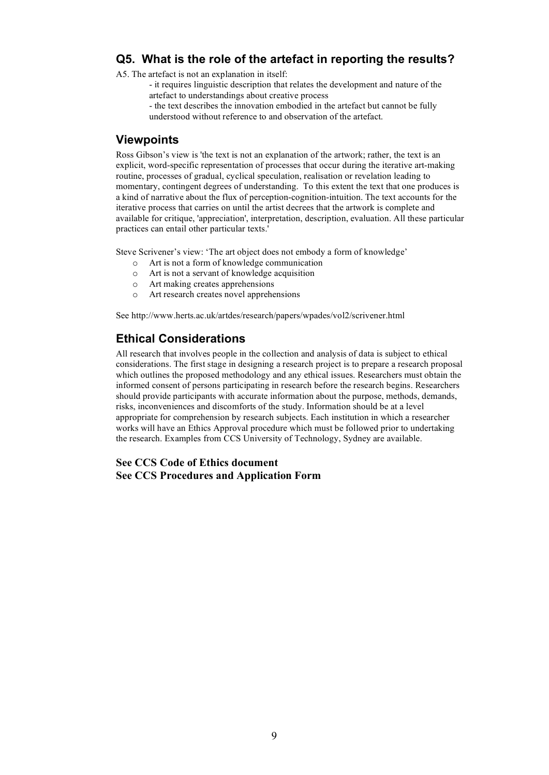## **Q5. What is the role of the artefact in reporting the results?**

A5. The artefact is not an explanation in itself:

- it requires linguistic description that relates the development and nature of the artefact to understandings about creative process

- the text describes the innovation embodied in the artefact but cannot be fully understood without reference to and observation of the artefact.

#### **Viewpoints**

Ross Gibson's view is 'the text is not an explanation of the artwork; rather, the text is an explicit, word-specific representation of processes that occur during the iterative art-making routine, processes of gradual, cyclical speculation, realisation or revelation leading to momentary, contingent degrees of understanding. To this extent the text that one produces is a kind of narrative about the flux of perception-cognition-intuition. The text accounts for the iterative process that carries on until the artist decrees that the artwork is complete and available for critique, 'appreciation', interpretation, description, evaluation. All these particular practices can entail other particular texts.'

Steve Scrivener's view: 'The art object does not embody a form of knowledge'

- o Art is not a form of knowledge communication
- o Art is not a servant of knowledge acquisition
- o Art making creates apprehensions
- o Art research creates novel apprehensions

See http://www.herts.ac.uk/artdes/research/papers/wpades/vol2/scrivener.html

## **Ethical Considerations**

All research that involves people in the collection and analysis of data is subject to ethical considerations. The first stage in designing a research project is to prepare a research proposal which outlines the proposed methodology and any ethical issues. Researchers must obtain the informed consent of persons participating in research before the research begins. Researchers should provide participants with accurate information about the purpose, methods, demands, risks, inconveniences and discomforts of the study. Information should be at a level appropriate for comprehension by research subjects. Each institution in which a researcher works will have an Ethics Approval procedure which must be followed prior to undertaking the research. Examples from CCS University of Technology, Sydney are available.

#### **See CCS Code of Ethics document See CCS Procedures and Application Form**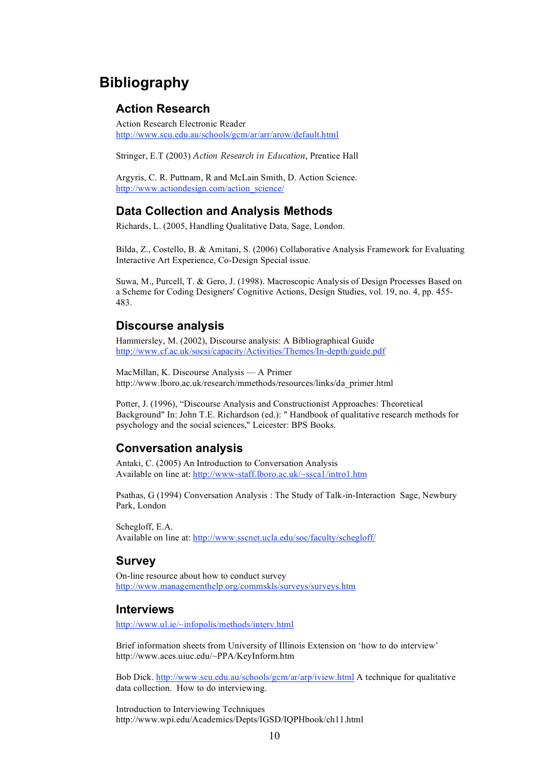# **Bibliography**

#### **Action Research**

Action Research Electronic Reader http://www.scu.edu.au/schools/gcm/ar/arr/arow/default.html

Stringer, E.T (2003) *Action Research in Education*, Prentice Hall

Argyris, C. R. Puttnam, R and McLain Smith, D. Action Science. http://www.actiondesign.com/action\_science/

#### **Data Collection and Analysis Methods**

Richards, L. (2005, Handling Qualitative Data, Sage, London.

Bilda, Z., Costello, B. & Amitani, S. (2006) Collaborative Analysis Framework for Evaluating Interactive Art Experience, Co-Design Special issue.

Suwa, M., Purcell, T. & Gero, J. (1998). Macroscopic Analysis of Design Processes Based on a Scheme for Coding Designers' Cognitive Actions, Design Studies, vol. 19, no. 4, pp. 455- 483.

#### **Discourse analysis**

Hammersley, M. (2002), Discourse analysis: A Bibliographical Guide http://www.cf.ac.uk/socsi/capacity/Activities/Themes/In-depth/guide.pdf

MacMillan, K. Discourse Analysis — A Primer http://www.lboro.ac.uk/research/mmethods/resources/links/da\_primer.html

Potter, J. (1996), "Discourse Analysis and Constructionist Approaches: Theoretical Background" In: John T.E. Richardson (ed.): " Handbook of qualitative research methods for psychology and the social sciences," Leicester: BPS Books.

### **Conversation analysis**

Antaki, C. (2005) An Introduction to Conversation Analysis Available on line at: http://www-staff.lboro.ac.uk/~ssca1/intro1.htm

Psathas, G (1994) Conversation Analysis : The Study of Talk-in-Interaction Sage, Newbury Park, London

Schegloff, E.A. Available on line at: http://www.sscnet.ucla.edu/soc/faculty/schegloff/

### **Survey**

On-line resource about how to conduct survey http://www.managementhelp.org/commskls/surveys/surveys.htm

#### **Interviews**

http://www.ul.ie/~infopolis/methods/interv.html

Brief information sheets from University of Illinois Extension on 'how to do interview' http://www.aces.uiuc.edu/~PPA/KeyInform.htm

Bob Dick. http://www.scu.edu.au/schools/gcm/ar/arp/iview.html A technique for qualitative data collection. How to do interviewing.

Introduction to Interviewing Techniques http://www.wpi.edu/Academics/Depts/IGSD/IQPHbook/ch11.html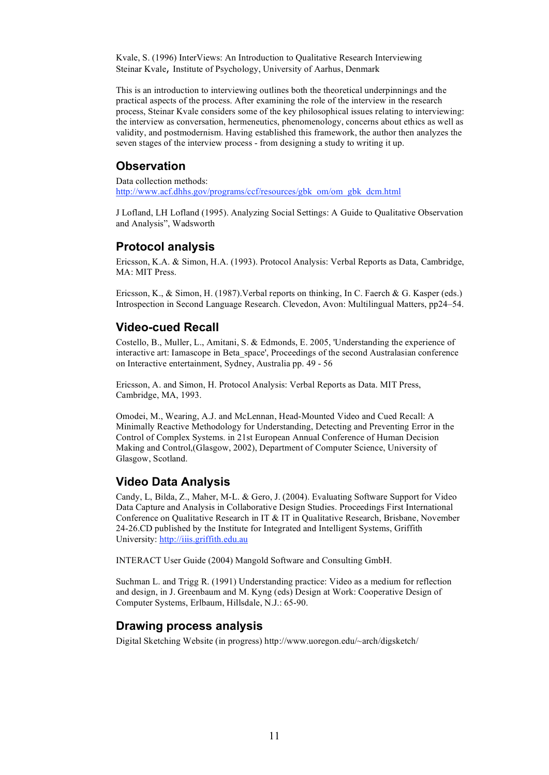Kvale, S. (1996) InterViews: An Introduction to Qualitative Research Interviewing Steinar Kvale, Institute of Psychology, University of Aarhus, Denmark

This is an introduction to interviewing outlines both the theoretical underpinnings and the practical aspects of the process. After examining the role of the interview in the research process, Steinar Kvale considers some of the key philosophical issues relating to interviewing: the interview as conversation, hermeneutics, phenomenology, concerns about ethics as well as validity, and postmodernism. Having established this framework, the author then analyzes the seven stages of the interview process - from designing a study to writing it up.

### **Observation**

Data collection methods: http://www.acf.dhhs.gov/programs/ccf/resources/gbk\_om/om\_gbk\_dcm.html

J Lofland, LH Lofland (1995). Analyzing Social Settings: A Guide to Qualitative Observation and Analysis", Wadsworth

### **Protocol analysis**

Ericsson, K.A. & Simon, H.A. (1993). Protocol Analysis: Verbal Reports as Data, Cambridge, MA: MIT Press.

Ericsson, K., & Simon, H. (1987). Verbal reports on thinking, In C. Faerch & G. Kasper (eds.) Introspection in Second Language Research. Clevedon, Avon: Multilingual Matters, pp24–54.

### **Video-cued Recall**

Costello, B., Muller, L., Amitani, S. & Edmonds, E. 2005, 'Understanding the experience of interactive art: Iamascope in Beta\_space', Proceedings of the second Australasian conference on Interactive entertainment, Sydney, Australia pp. 49 - 56

Ericsson, A. and Simon, H. Protocol Analysis: Verbal Reports as Data. MIT Press, Cambridge, MA, 1993.

Omodei, M., Wearing, A.J. and McLennan, Head-Mounted Video and Cued Recall: A Minimally Reactive Methodology for Understanding, Detecting and Preventing Error in the Control of Complex Systems. in 21st European Annual Conference of Human Decision Making and Control,(Glasgow, 2002), Department of Computer Science, University of Glasgow, Scotland.

## **Video Data Analysis**

Candy, L, Bilda, Z., Maher, M-L. & Gero, J. (2004). Evaluating Software Support for Video Data Capture and Analysis in Collaborative Design Studies. Proceedings First International Conference on Qualitative Research in IT & IT in Qualitative Research, Brisbane, November 24-26.CD published by the Institute for Integrated and Intelligent Systems, Griffith University: http://iiis.griffith.edu.au

INTERACT User Guide (2004) Mangold Software and Consulting GmbH.

Suchman L. and Trigg R. (1991) Understanding practice: Video as a medium for reflection and design, in J. Greenbaum and M. Kyng (eds) Design at Work: Cooperative Design of Computer Systems, Erlbaum, Hillsdale, N.J.: 65-90.

### **Drawing process analysis**

Digital Sketching Website (in progress) http://www.uoregon.edu/~arch/digsketch/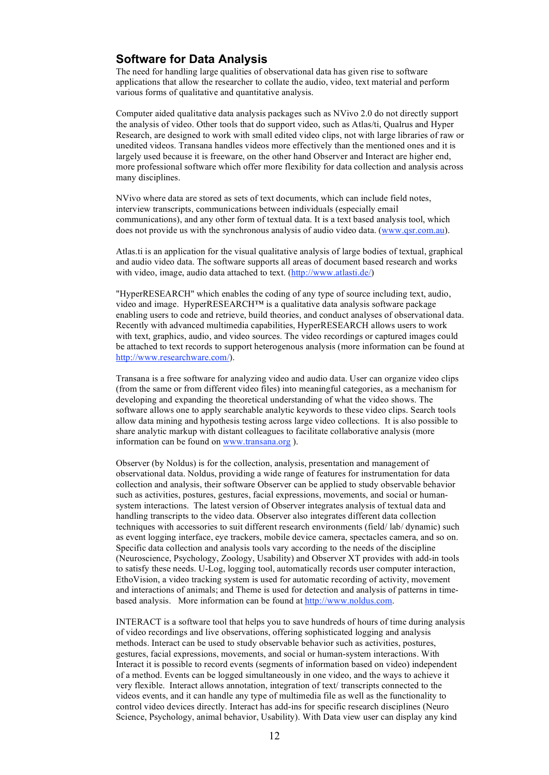### **Software for Data Analysis**

The need for handling large qualities of observational data has given rise to software applications that allow the researcher to collate the audio, video, text material and perform various forms of qualitative and quantitative analysis.

Computer aided qualitative data analysis packages such as NVivo 2.0 do not directly support the analysis of video. Other tools that do support video, such as Atlas/ti, Qualrus and Hyper Research, are designed to work with small edited video clips, not with large libraries of raw or unedited videos. Transana handles videos more effectively than the mentioned ones and it is largely used because it is freeware, on the other hand Observer and Interact are higher end, more professional software which offer more flexibility for data collection and analysis across many disciplines.

NVivo where data are stored as sets of text documents, which can include field notes, interview transcripts, communications between individuals (especially email communications), and any other form of textual data. It is a text based analysis tool, which does not provide us with the synchronous analysis of audio video data. (www.qsr.com.au).

Atlas.ti is an application for the visual qualitative analysis of large bodies of textual, graphical and audio video data. The software supports all areas of document based research and works with video, image, audio data attached to text. (http://www.atlasti.de/)

"HyperRESEARCH" which enables the coding of any type of source including text, audio, video and image. HyperRESEARCH™ is a qualitative data analysis software package enabling users to code and retrieve, build theories, and conduct analyses of observational data. Recently with advanced multimedia capabilities, HyperRESEARCH allows users to work with text, graphics, audio, and video sources. The video recordings or captured images could be attached to text records to support heterogenous analysis (more information can be found at http://www.researchware.com/).

Transana is a free software for analyzing video and audio data. User can organize video clips (from the same or from different video files) into meaningful categories, as a mechanism for developing and expanding the theoretical understanding of what the video shows. The software allows one to apply searchable analytic keywords to these video clips. Search tools allow data mining and hypothesis testing across large video collections. It is also possible to share analytic markup with distant colleagues to facilitate collaborative analysis (more information can be found on www.transana.org ).

Observer (by Noldus) is for the collection, analysis, presentation and management of observational data. Noldus, providing a wide range of features for instrumentation for data collection and analysis, their software Observer can be applied to study observable behavior such as activities, postures, gestures, facial expressions, movements, and social or humansystem interactions. The latest version of Observer integrates analysis of textual data and handling transcripts to the video data. Observer also integrates different data collection techniques with accessories to suit different research environments (field/ lab/ dynamic) such as event logging interface, eye trackers, mobile device camera, spectacles camera, and so on. Specific data collection and analysis tools vary according to the needs of the discipline (Neuroscience, Psychology, Zoology, Usability) and Observer XT provides with add-in tools to satisfy these needs. U-Log, logging tool, automatically records user computer interaction, EthoVision, a video tracking system is used for automatic recording of activity, movement and interactions of animals; and Theme is used for detection and analysis of patterns in timebased analysis. More information can be found at http://www.noldus.com.

INTERACT is a software tool that helps you to save hundreds of hours of time during analysis of video recordings and live observations, offering sophisticated logging and analysis methods. Interact can be used to study observable behavior such as activities, postures, gestures, facial expressions, movements, and social or human-system interactions. With Interact it is possible to record events (segments of information based on video) independent of a method. Events can be logged simultaneously in one video, and the ways to achieve it very flexible. Interact allows annotation, integration of text/ transcripts connected to the videos events, and it can handle any type of multimedia file as well as the functionality to control video devices directly. Interact has add-ins for specific research disciplines (Neuro Science, Psychology, animal behavior, Usability). With Data view user can display any kind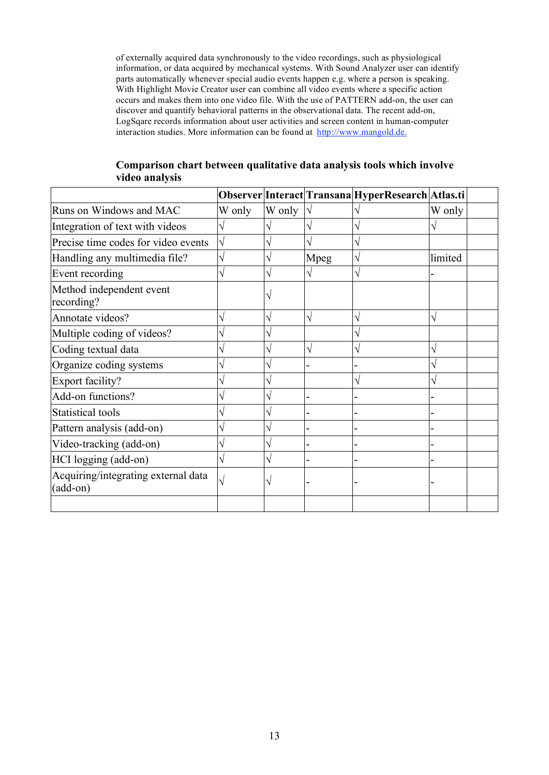of externally acquired data synchronously to the video recordings, such as physiological information, or data acquired by mechanical systems. With Sound Analyzer user can identify parts automatically whenever special audio events happen e.g. where a person is speaking. With Highlight Movie Creator user can combine all video events where a specific action occurs and makes them into one video file. With the use of PATTERN add-on, the user can discover and quantify behavioral patterns in the observational data. The recent add-on, LogSqare records information about user activities and screen content in human-computer interaction studies. More information can be found at http://www.mangold.de.

|                                                 |        |        |      | Observer Interact Transana HyperResearch Atlas.ti |         |  |
|-------------------------------------------------|--------|--------|------|---------------------------------------------------|---------|--|
| Runs on Windows and MAC                         | W only | W only |      |                                                   | W only  |  |
| Integration of text with videos                 |        |        |      |                                                   |         |  |
| Precise time codes for video events             |        |        |      |                                                   |         |  |
| Handling any multimedia file?                   |        |        | Mpeg |                                                   | limited |  |
| Event recording                                 |        |        |      |                                                   |         |  |
| Method independent event<br>recording?          |        |        |      |                                                   |         |  |
| Annotate videos?                                | V      | V      | V    |                                                   |         |  |
| Multiple coding of videos?                      |        |        |      |                                                   |         |  |
| Coding textual data                             |        |        |      |                                                   |         |  |
| Organize coding systems                         |        |        |      |                                                   |         |  |
| Export facility?                                |        |        |      |                                                   |         |  |
| Add-on functions?                               |        | N      |      |                                                   |         |  |
| <b>Statistical tools</b>                        |        |        |      |                                                   |         |  |
| Pattern analysis (add-on)                       |        |        |      |                                                   |         |  |
| Video-tracking (add-on)                         |        |        |      |                                                   |         |  |
| HCI logging (add-on)                            |        |        |      |                                                   |         |  |
| Acquiring/integrating external data<br>(add-on) |        | V      |      |                                                   |         |  |
|                                                 |        |        |      |                                                   |         |  |

#### **Comparison chart between qualitative data analysis tools which involve video analysis**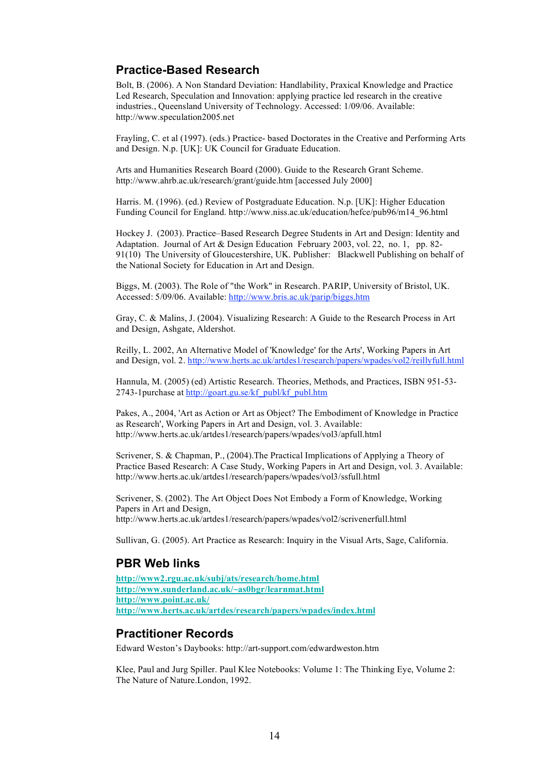### **Practice-Based Research**

Bolt, B. (2006). A Non Standard Deviation: Handlability, Praxical Knowledge and Practice Led Research, Speculation and Innovation: applying practice led research in the creative industries., Queensland University of Technology. Accessed: 1/09/06. Available: http://www.speculation2005.net

Frayling, C. et al (1997). (eds.) Practice- based Doctorates in the Creative and Performing Arts and Design. N.p. [UK]: UK Council for Graduate Education.

Arts and Humanities Research Board (2000). Guide to the Research Grant Scheme. http://www.ahrb.ac.uk/research/grant/guide.htm [accessed July 2000]

Harris. M. (1996). (ed.) Review of Postgraduate Education. N.p. [UK]: Higher Education Funding Council for England. http://www.niss.ac.uk/education/hefce/pub96/m14\_96.html

Hockey J. (2003). Practice–Based Research Degree Students in Art and Design: Identity and Adaptation. Journal of Art & Design Education February 2003, vol. 22, no. 1, pp. 82- 91(10) The University of Gloucestershire, UK. Publisher: Blackwell Publishing on behalf of the National Society for Education in Art and Design.

Biggs, M. (2003). The Role of "the Work" in Research. PARIP, University of Bristol, UK. Accessed: 5/09/06. Available: http://www.bris.ac.uk/parip/biggs.htm

Gray, C. & Malins, J. (2004). Visualizing Research: A Guide to the Research Process in Art and Design, Ashgate, Aldershot.

Reilly, L. 2002, An Alternative Model of 'Knowledge' for the Arts', Working Papers in Art and Design, vol. 2. http://www.herts.ac.uk/artdes1/research/papers/wpades/vol2/reillyfull.html

Hannula, M. (2005) (ed) Artistic Research. Theories, Methods, and Practices, ISBN 951-53- 2743-1purchase at http://goart.gu.se/kf\_publ/kf\_publ.htm

Pakes, A., 2004, 'Art as Action or Art as Object? The Embodiment of Knowledge in Practice as Research', Working Papers in Art and Design, vol. 3. Available: http://www.herts.ac.uk/artdes1/research/papers/wpades/vol3/apfull.html

Scrivener, S. & Chapman, P., (2004).The Practical Implications of Applying a Theory of Practice Based Research: A Case Study, Working Papers in Art and Design, vol. 3. Available: http://www.herts.ac.uk/artdes1/research/papers/wpades/vol3/ssfull.html

Scrivener, S. (2002). The Art Object Does Not Embody a Form of Knowledge, Working Papers in Art and Design, http://www.herts.ac.uk/artdes1/research/papers/wpades/vol2/scrivenerfull.html

Sullivan, G. (2005). Art Practice as Research: Inquiry in the Visual Arts, Sage, California.

#### **PBR Web links**

**http://www2.rgu.ac.uk/subj/ats/research/home.html http://www.sunderland.ac.uk/~as0bgr/learnmat.html http://www.point.ac.uk/ http://www.herts.ac.uk/artdes/research/papers/wpades/index.html**

#### **Practitioner Records**

Edward Weston's Daybooks: http://art-support.com/edwardweston.htm

Klee, Paul and Jurg Spiller. Paul Klee Notebooks: Volume 1: The Thinking Eye, Volume 2: The Nature of Nature.London, 1992.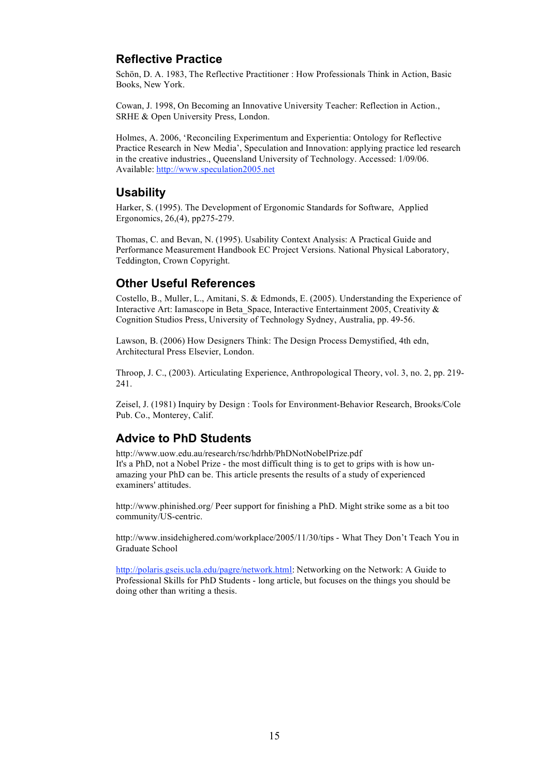## **Reflective Practice**

Schön, D. A. 1983, The Reflective Practitioner : How Professionals Think in Action, Basic Books, New York.

Cowan, J. 1998, On Becoming an Innovative University Teacher: Reflection in Action., SRHE & Open University Press, London.

Holmes, A. 2006, 'Reconciling Experimentum and Experientia: Ontology for Reflective Practice Research in New Media', Speculation and Innovation: applying practice led research in the creative industries., Queensland University of Technology. Accessed: 1/09/06. Available: http://www.speculation2005.net

### **Usability**

Harker, S. (1995). The Development of Ergonomic Standards for Software, Applied Ergonomics, 26,(4), pp275-279.

Thomas, C. and Bevan, N. (1995). Usability Context Analysis: A Practical Guide and Performance Measurement Handbook EC Project Versions. National Physical Laboratory, Teddington, Crown Copyright.

## **Other Useful References**

Costello, B., Muller, L., Amitani, S. & Edmonds, E. (2005). Understanding the Experience of Interactive Art: Iamascope in Beta\_Space, Interactive Entertainment 2005, Creativity & Cognition Studios Press, University of Technology Sydney, Australia, pp. 49-56.

Lawson, B. (2006) How Designers Think: The Design Process Demystified, 4th edn, Architectural Press Elsevier, London.

Throop, J. C., (2003). Articulating Experience, Anthropological Theory, vol. 3, no. 2, pp. 219- 241.

Zeisel, J. (1981) Inquiry by Design : Tools for Environment-Behavior Research, Brooks/Cole Pub. Co., Monterey, Calif.

## **Advice to PhD Students**

http://www.uow.edu.au/research/rsc/hdrhb/PhDNotNobelPrize.pdf It's a PhD, not a Nobel Prize - the most difficult thing is to get to grips with is how unamazing your PhD can be. This article presents the results of a study of experienced examiners' attitudes.

http://www.phinished.org/ Peer support for finishing a PhD. Might strike some as a bit too community/US-centric.

http://www.insidehighered.com/workplace/2005/11/30/tips - What They Don't Teach You in Graduate School

http://polaris.gseis.ucla.edu/pagre/network.html: Networking on the Network: A Guide to Professional Skills for PhD Students - long article, but focuses on the things you should be doing other than writing a thesis.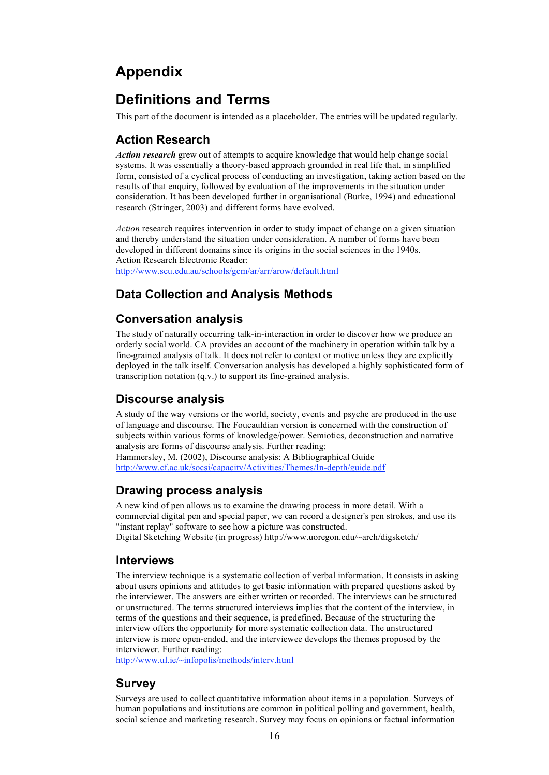# **Appendix**

# **Definitions and Terms**

This part of the document is intended as a placeholder. The entries will be updated regularly.

## **Action Research**

*Action research* grew out of attempts to acquire knowledge that would help change social systems. It was essentially a theory-based approach grounded in real life that, in simplified form, consisted of a cyclical process of conducting an investigation, taking action based on the results of that enquiry, followed by evaluation of the improvements in the situation under consideration. It has been developed further in organisational (Burke, 1994) and educational research (Stringer, 2003) and different forms have evolved.

*Action* research requires intervention in order to study impact of change on a given situation and thereby understand the situation under consideration. A number of forms have been developed in different domains since its origins in the social sciences in the 1940s. Action Research Electronic Reader: http://www.scu.edu.au/schools/gcm/ar/arr/arow/default.html

## **Data Collection and Analysis Methods**

### **Conversation analysis**

The study of naturally occurring talk-in-interaction in order to discover how we produce an orderly social world. CA provides an account of the machinery in operation within talk by a fine-grained analysis of talk. It does not refer to context or motive unless they are explicitly deployed in the talk itself. Conversation analysis has developed a highly sophisticated form of transcription notation (q.v.) to support its fine-grained analysis.

## **Discourse analysis**

A study of the way versions or the world, society, events and psyche are produced in the use of language and discourse. The Foucauldian version is concerned with the construction of subjects within various forms of knowledge/power. Semiotics, deconstruction and narrative analysis are forms of discourse analysis. Further reading:

Hammersley, M. (2002), Discourse analysis: A Bibliographical Guide http://www.cf.ac.uk/socsi/capacity/Activities/Themes/In-depth/guide.pdf

### **Drawing process analysis**

A new kind of pen allows us to examine the drawing process in more detail. With a commercial digital pen and special paper, we can record a designer's pen strokes, and use its "instant replay" software to see how a picture was constructed. Digital Sketching Website (in progress) http://www.uoregon.edu/~arch/digsketch/

#### **Interviews**

The interview technique is a systematic collection of verbal information. It consists in asking about users opinions and attitudes to get basic information with prepared questions asked by the interviewer. The answers are either written or recorded. The interviews can be structured or unstructured. The terms structured interviews implies that the content of the interview, in terms of the questions and their sequence, is predefined. Because of the structuring the interview offers the opportunity for more systematic collection data. The unstructured interview is more open-ended, and the interviewee develops the themes proposed by the interviewer. Further reading:

http://www.ul.ie/~infopolis/methods/interv.html

### **Survey**

Surveys are used to collect quantitative information about items in a population. Surveys of human populations and institutions are common in political polling and government, health, social science and marketing research. Survey may focus on opinions or factual information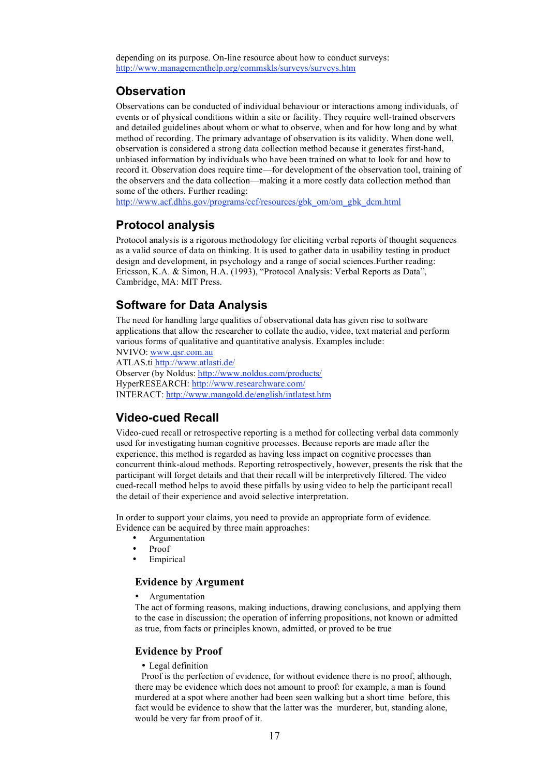depending on its purpose. On-line resource about how to conduct surveys: http://www.managementhelp.org/commskls/surveys/surveys.htm

### **Observation**

Observations can be conducted of individual behaviour or interactions among individuals, of events or of physical conditions within a site or facility. They require well-trained observers and detailed guidelines about whom or what to observe, when and for how long and by what method of recording. The primary advantage of observation is its validity. When done well, observation is considered a strong data collection method because it generates first-hand, unbiased information by individuals who have been trained on what to look for and how to record it. Observation does require time—for development of the observation tool, training of the observers and the data collection—making it a more costly data collection method than some of the others. Further reading:

http://www.acf.dhhs.gov/programs/ccf/resources/gbk\_om/om\_gbk\_dcm.html

#### **Protocol analysis**

Protocol analysis is a rigorous methodology for eliciting verbal reports of thought sequences as a valid source of data on thinking. It is used to gather data in usability testing in product design and development, in psychology and a range of social sciences.Further reading: Ericsson, K.A. & Simon, H.A. (1993), "Protocol Analysis: Verbal Reports as Data", Cambridge, MA: MIT Press.

### **Software for Data Analysis**

The need for handling large qualities of observational data has given rise to software applications that allow the researcher to collate the audio, video, text material and perform various forms of qualitative and quantitative analysis. Examples include:

NVIVO: www.qsr.com.au

ATLAS.ti http://www.atlasti.de/ Observer (by Noldus: http://www.noldus.com/products/ HyperRESEARCH: http://www.researchware.com/ INTERACT: http://www.mangold.de/english/intlatest.htm

## **Video-cued Recall**

Video-cued recall or retrospective reporting is a method for collecting verbal data commonly used for investigating human cognitive processes. Because reports are made after the experience, this method is regarded as having less impact on cognitive processes than concurrent think-aloud methods. Reporting retrospectively, however, presents the risk that the participant will forget details and that their recall will be interpretively filtered. The video cued-recall method helps to avoid these pitfalls by using video to help the participant recall the detail of their experience and avoid selective interpretation.

In order to support your claims, you need to provide an appropriate form of evidence. Evidence can be acquired by three main approaches:

- **Argumentation**
- Proof
- **Empirical**

#### **Evidence by Argument**

**Argumentation** 

The act of forming reasons, making inductions, drawing conclusions, and applying them to the case in discussion; the operation of inferring propositions, not known or admitted as true, from facts or principles known, admitted, or proved to be true

#### **Evidence by Proof**

• Legal definition

Proof is the perfection of evidence, for without evidence there is no proof, although, there may be evidence which does not amount to proof: for example, a man is found murdered at a spot where another had been seen walking but a short time before, this fact would be evidence to show that the latter was the murderer, but, standing alone, would be very far from proof of it.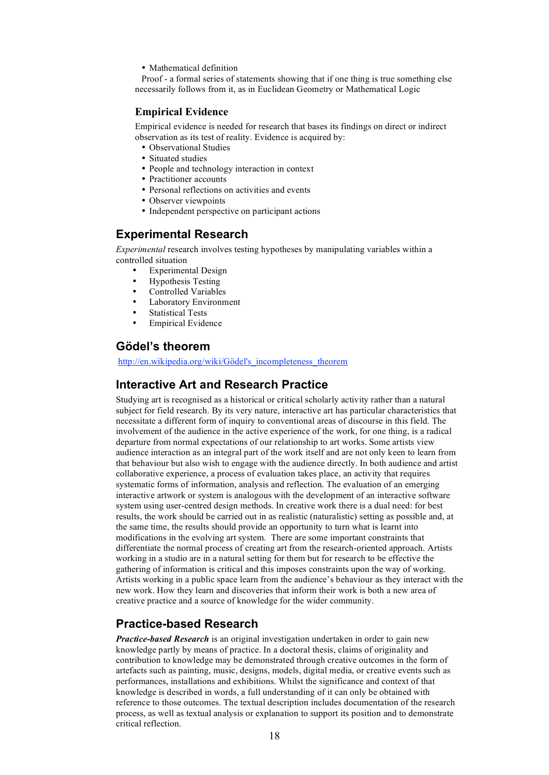• Mathematical definition

Proof - a formal series of statements showing that if one thing is true something else necessarily follows from it, as in Euclidean Geometry or Mathematical Logic

#### **Empirical Evidence**

Empirical evidence is needed for research that bases its findings on direct or indirect observation as its test of reality. Evidence is acquired by:

- Observational Studies
- Situated studies
- People and technology interaction in context
- Practitioner accounts
- Personal reflections on activities and events
- Observer viewpoints
- Independent perspective on participant actions

### **Experimental Research**

*Experimental* research involves testing hypotheses by manipulating variables within a controlled situation

- Experimental Design
- Hypothesis Testing
- Controlled Variables
- Laboratory Environment
- **Statistical Tests**
- **Empirical Evidence**

## **Gödel's theorem**

http://en.wikipedia.org/wiki/Gödel's\_incompleteness\_theorem

#### **Interactive Art and Research Practice**

Studying art is recognised as a historical or critical scholarly activity rather than a natural subject for field research. By its very nature, interactive art has particular characteristics that necessitate a different form of inquiry to conventional areas of discourse in this field. The involvement of the audience in the active experience of the work, for one thing, is a radical departure from normal expectations of our relationship to art works. Some artists view audience interaction as an integral part of the work itself and are not only keen to learn from that behaviour but also wish to engage with the audience directly. In both audience and artist collaborative experience, a process of evaluation takes place, an activity that requires systematic forms of information, analysis and reflection. The evaluation of an emerging interactive artwork or system is analogous with the development of an interactive software system using user-centred design methods. In creative work there is a dual need: for best results, the work should be carried out in as realistic (naturalistic) setting as possible and, at the same time, the results should provide an opportunity to turn what is learnt into modifications in the evolving art system. There are some important constraints that differentiate the normal process of creating art from the research-oriented approach. Artists working in a studio are in a natural setting for them but for research to be effective the gathering of information is critical and this imposes constraints upon the way of working. Artists working in a public space learn from the audience's behaviour as they interact with the new work. How they learn and discoveries that inform their work is both a new area of creative practice and a source of knowledge for the wider community.

## **Practice-based Research**

*Practice-based Research* is an original investigation undertaken in order to gain new knowledge partly by means of practice. In a doctoral thesis, claims of originality and contribution to knowledge may be demonstrated through creative outcomes in the form of artefacts such as painting, music, designs, models, digital media, or creative events such as performances, installations and exhibitions. Whilst the significance and context of that knowledge is described in words, a full understanding of it can only be obtained with reference to those outcomes. The textual description includes documentation of the research process, as well as textual analysis or explanation to support its position and to demonstrate critical reflection.